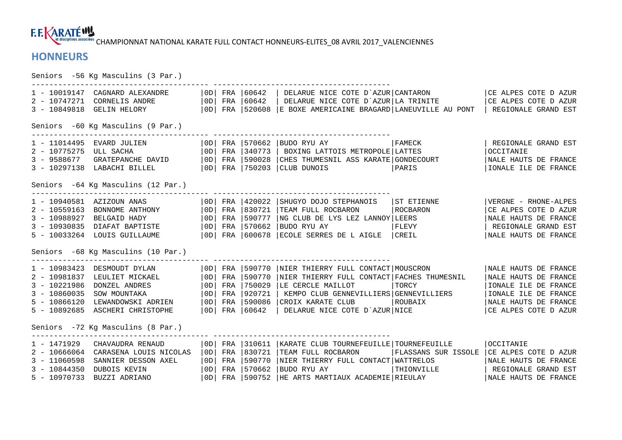**F.E. KARATÉWY RE disciplines associées**<br>CHAMPIONNAT NATIONAL KARATE FULL CONTACT HONNEURS-ELITES\_08 AVRIL 2017\_VALENCIENNES

## **HONNEURS**

Seniors -56 Kg Masculins (3 Par.) ---------------------------------------- ---------------------------------------- 1 - 10019147 CAGNARD ALEXANDRE | 0D| FRA |60642 | DELARUE NICE COTE D`AZUR|CANTARON | | | | | | | | | | | | | |<br>2 - 10747271 CORNELIS ANDRE | 0D| FRA |60642 | DELARUE NICE COTE D`AZUR|LA TRINITE | | | | | | | | | | | | | | Seniors -60 Kg Masculins (9 Par.) ---------------------------------------- ---------------------------------------- 1 - 11014495 EVARD JULIEN |0D| FRA |570662 |BUDO RYU AY |FAMECK | REGIONALE GRAND EST 2 - 10775275 ULL SACHA |0D| FRA |340773 | BOXING LATTOIS METROPOLE|LATTES |OCCITANIE 3 - 9588677 GRATEPANCHE DAVID |0D| FRA |590028 |CHES THUMESNIL ASS KARATE|GONDECOURT |NALE HAUTS DE FRANCE 3 - 10297138 LABACHI BILLEL |0D| FRA |750203 |CLUB DUNOIS |PARIS |IONALE ILE DE FRANCE Seniors -64 Kg Masculins (12 Par.) ---------------------------------------- ---------------------------------------- 1 - 10940581 AZIZOUN ANAS |0D| FRA |420022 |SHUGYO DOJO STEPHANOIS |ST ETIENNE |VERGNE - RHONE-ALPES 2 - 10559163 BONNOME ANTHONY |0D| FRA |830721 |TEAM FULL ROCBARON |ROCBARON |CE ALPES COTE D AZUR 3 - 10988927 BELGAID HADY |0D| FRA |590777 |NG CLUB DE LYS LEZ LANNOY|LEERS |NALE HAUTS DE FRANCE 3 - 10930835 DIAFAT BAPTISTE |0D| FRA |570662 |BUDO RYU AY |FLEVY | REGIONALE GRAND EST 5 - 10033264 LOUIS GUILLAUME |0D| FRA |600678 |ECOLE SERRES DE L AIGLE |CREIL |NALE HAUTS DE FRANCE Seniors -68 Kg Masculins (10 Par.) ---------------------------------------- ---------------------------------------- 1 - 10983423 DESMOUDT DYLAN |0D| FRA |590770 |NIER THIERRY FULL CONTACT|MOUSCRON |NALE HAUTS DE FRANCE 2 - 10981837 LEULIET MICKAEL |0D| FRA |590770 |NIER THIERRY FULL CONTACT|FACHES THUMESNIL |NALE HAUTS DE FRANCE 3 - 10221986 DONZEL ANDRES |0D| FRA |750029 |LE CERCLE MAILLOT |TORCY |IONALE ILE DE FRANCE 3 - 10860035 SOW MOUNTAKA |0D| FRA |920721 | KEMPO CLUB GENNEVILLIERS|GENNEVILLIERS |IONALE ILE DE FRANCE 5 - 10866120 LEWANDOWSKI ADRIEN |0D| FRA |590086 |CROIX KARATE CLUB |ROUBAIX |NALE HAUTS DE FRANCE 5 - 10892685 ASCHERI CHRISTOPHE |0D| FRA |60642 | DELARUE NICE COTE D`AZUR|NICE |CE ALPES COTE D AZUR Seniors -72 Kg Masculins (8 Par.) ---------------------------------------- ---------------------------------------- 1 - 1471929 CHAVAUDRA RENAUD |0D| FRA |310611 |KARATE CLUB TOURNEFEUILLE|TOURNEFEUILLE |OCCITANIE 2 - 10666064 CARASENA LOUIS NICOLAS | OD| FRA |830721 |TEAM FULL ROCBARON ||FLASSANS SUR ISSOLE |CE ALPES COTE DAZUR<br>3 - 11060598 SANNIER DESSON AXEL | OD| FRA |590770 |NIER THIERRY FULL CONTACT|WATTRELOS ||NALE HAUTS DE F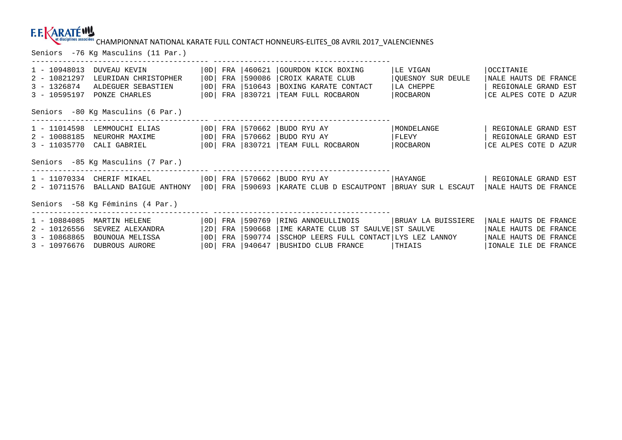# CHAMPIONNAT NATIONAL KARATE FULL CONTACT HONNEURS-ELITES\_08 AVRIL 2017\_VALENCIENNES Seniors -76 Kg Masculins (11 Par.)

| $1 - 10948013$<br>$2 - 10821297$<br>$3 - 1326874$<br>$3 - 10595197$  | DUVEAU KEVIN<br>LEURIDAN CHRISTOPHER<br>ALDEGUER SEBASTIEN<br>PONZE CHARLES | $0$ D<br>OD<br>$0$ D<br> OD | FRA<br>FRA<br>FRA<br>FRA | 460621<br>590086<br> 510643<br> 830721 | GOURDON KICK BOXING<br>CROIX KARATE CLUB<br>BOXING KARATE CONTACT<br>TEAM FULL ROCBARON                                      | LE VIGAN<br>OUESNOY SUR DEULE<br>LA CHEPPE<br>  ROCBARON | OCCITANIE<br>NALE HAUTS DE FRANCE<br>REGIONALE GRAND EST<br>CE ALPES COTE D AZUR                |
|----------------------------------------------------------------------|-----------------------------------------------------------------------------|-----------------------------|--------------------------|----------------------------------------|------------------------------------------------------------------------------------------------------------------------------|----------------------------------------------------------|-------------------------------------------------------------------------------------------------|
| Seniors -80 Kg Masculins (6 Par.)                                    |                                                                             |                             |                          |                                        |                                                                                                                              |                                                          |                                                                                                 |
| 1 - 11014598<br>2 - 10088185<br>$3 - 11035770$                       | LEMMOUCHI ELIAS<br>NEUROHR MAXIME<br>CALI GABRIEL                           | OD <br>  OD  <br> OD        | FRA<br>FRA<br>FRA        | 570662<br>1570662<br> 830721           | BUDO RYU AY<br> BUDO RYU AY<br>TEAM FULL ROCBARON                                                                            | MONDELANGE<br>  FLEVY<br>  ROCBARON                      | REGIONALE GRAND EST<br>REGIONALE GRAND EST<br>CE ALPES COTE D AZUR                              |
| Seniors -85 Kg Masculins (7 Par.)                                    |                                                                             |                             |                          |                                        |                                                                                                                              |                                                          |                                                                                                 |
| 1 - 11070334<br>2 - 10711576                                         | CHERIF MIKAEL<br>BALLAND BAIGUE ANTHONY                                     | OD  <br> OD                 | FRA<br>FRA               | 570662                                 | BUDO RYU AY<br>590693   KARATE CLUB D ESCAUTPONT                                                                             | HAYANGE<br>BRUAY SUR L ESCAUT                            | REGIONALE GRAND EST<br>NALE HAUTS DE FRANCE                                                     |
| Seniors -58 Kg Féminins (4 Par.)                                     |                                                                             |                             |                          |                                        |                                                                                                                              |                                                          |                                                                                                 |
| $1 - 10884085$<br>$2 - 10126556$<br>$3 - 10868865$<br>$3 - 10976676$ | MARTIN HELENE<br>SEVREZ ALEXANDRA<br>BOUNOUA MELISSA<br>DUBROUS AURORE      | OD <br>2D<br>0D<br>0D       | FRA<br>FRA<br>FRA<br>FRA | 590769<br>590668<br> 590774<br> 940647 | RING ANNOEULLINOIS<br>IME KARATE CLUB ST SAULVE ST SAULVE<br>SSCHOP LEERS FULL CONTACT LYS LEZ LANNOY<br>BUSHIDO CLUB FRANCE | BRUAY LA BUISSIERE<br>THIAIS                             | NALE HAUTS DE FRANCE<br>NALE HAUTS DE FRANCE<br>NALE HAUTS DE FRANCE<br>IONALE ILE<br>DE FRANCE |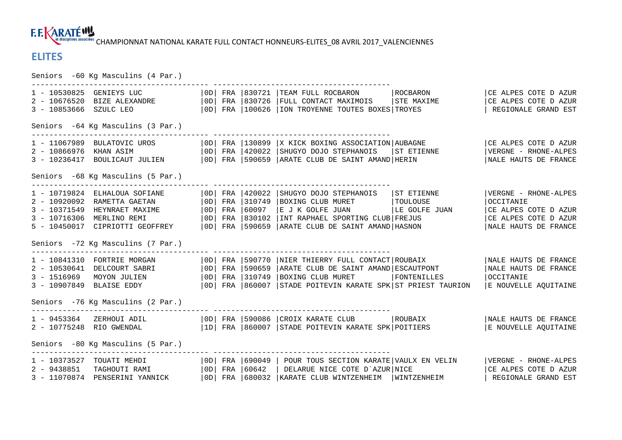**F.E. KARATÉWY CET disciplines associées** CHAMPIONNAT NATIONAL KARATE FULL CONTACT HONNEURS-ELITES 08 AVRIL 2017 VALENCIENNES

## **ELITES**

Seniors -60 Kg Masculins (4 Par.) ---------------------------------------- ---------------------------------------- 1 - 10530825 GENIEYS LUC |0D| FRA |830721 |TEAM FULL ROCBARON |ROCBARON |CE ALPES COTE D AZUR CE ALPES COTE D AZUR 2 - 10676520 BIZE ALEXANDRE | 0D| FRA |830726 |FULL CONTACT MAXIMOIS | STE MAXIME | CE ALPES COTE D AZUR 3 - 10853666 SZULC LEO | OD| FRA |100626 |ION TROYENNE TOUTES BOXES|TROYES | REGIONALE GRAND EST Seniors -64 Kg Masculins (3 Par.) ---------------------------------------- ---------------------------------------- 1 - 11067989 BULATOVIC UROS |0D| FRA |130899 |X KICK BOXING ASSOCIATION|AUBAGNE |CE ALPES COTE D AZUR 2 - 10866976 KHAN ASIM |0D| FRA |420022 |SHUGYO DOJO STEPHANOIS |ST ETIENNE |VERGNE - RHONE-ALPES 3 - 10236417 BOULICAUT JULIEN |0D| FRA |590659 |ARATE CLUB DE SAINT AMAND|HERIN |NALE HAUTS DE FRANCE Seniors -68 Kg Masculins (5 Par.) 1 - 10719824 ELHALOUA SOFIANE | 0D| FRA | 420022 | SHUGYO DOJO STEPHANOIS | ST ETIENNE | VERGNE - RHONE-ALPES<br>2 - 10920092 RAMETTA GAETAN | 0D| FRA | 310749 | BOXING CLUB MURET | TOULOUSE | OCCITANIE<br>3 - 10371549 HEYNRAET Seniors -72 Kg Masculins (7 Par.) ---------------------------------------- ---------------------------------------- 1 - 10841310 FORTRIE MORGAN |0D| FRA |590770 |NIER THIERRY FULL CONTACT|ROUBAIX |NALE HAUTS DE FRANCE 2 - 10530641 DELCOURT SABRI |0D| FRA |590659 |ARATE CLUB DE SAINT AMAND|ESCAUTPONT |NALE HAUTS DE FRANCE 3 - 1516969 MOYON JULIEN |0D| FRA |310749 |BOXING CLUB MURET |FONTENILLES |OCCITANIE 3 - 10907849 BLAISE EDDY |0D| FRA |860007 |STADE POITEVIN KARATE SPK|ST PRIEST TAURION |E NOUVELLE AQUITAINE Seniors -76 Kg Masculins (2 Par.) ---------------------------------------- ---------------------------------------- 1 – 9453364 ZERHOUI ADIL |OD| FRA |590086 |CROIX KARATE CLUB |ROUBAIX |NALE HAUTS DE FRANCE<br>2 – 10775248 RIO GWENDAL |ID| FRA |860007 |STADE POITEVIN KARATE SPK|POITIERS Seniors -80 Kg Masculins (5 Par.) ---------------------------------------- ---------------------------------------- 1 - 10373527 TOUATI MEHDI |0D| FRA |690049 | POUR TOUS SECTION KARATE|VAULX EN VELIN |VERGNE - RHONE-ALPES CE ALPES COTE D AZUR 2 - 9438851 TAGHOUTI RAMI |OD| FRA |60642 | DELARUE NICE COTE D`AZUR|NICE |CE ALPES COTE D AZUR 3 - 11070874 PENSERINI YANNICK |0D| FRA |680032 |KARATE CLUB WINTZENHEIM |WINTZENHEIM | REGIONALE GRAND EST